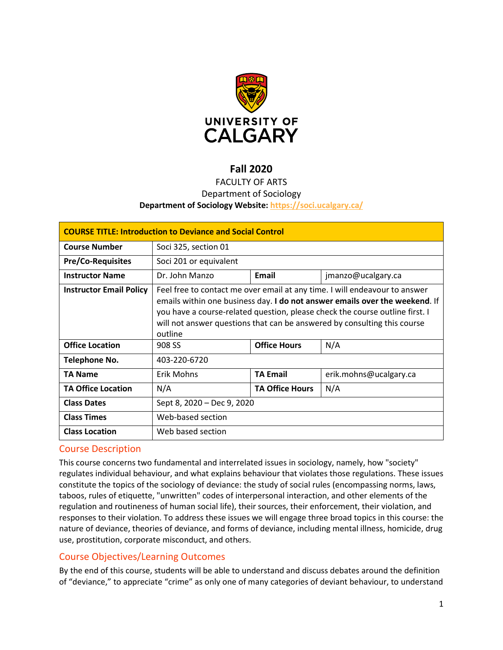

# **Fall 2020**

# FACULTY OF ARTS Department of Sociology **Department of Sociology Website:<https://soci.ucalgary.ca/>**

| <b>COURSE TITLE: Introduction to Deviance and Social Control</b> |                                                                                                                                                                                                                                                                                                                                  |                        |                        |  |
|------------------------------------------------------------------|----------------------------------------------------------------------------------------------------------------------------------------------------------------------------------------------------------------------------------------------------------------------------------------------------------------------------------|------------------------|------------------------|--|
| <b>Course Number</b>                                             | Soci 325, section 01                                                                                                                                                                                                                                                                                                             |                        |                        |  |
| <b>Pre/Co-Requisites</b>                                         | Soci 201 or equivalent                                                                                                                                                                                                                                                                                                           |                        |                        |  |
| <b>Instructor Name</b>                                           | Dr. John Manzo                                                                                                                                                                                                                                                                                                                   | Email                  | jmanzo@ucalgary.ca     |  |
| <b>Instructor Email Policy</b>                                   | Feel free to contact me over email at any time. I will endeavour to answer<br>emails within one business day. I do not answer emails over the weekend. If<br>you have a course-related question, please check the course outline first. I<br>will not answer questions that can be answered by consulting this course<br>outline |                        |                        |  |
| <b>Office Location</b>                                           | 908 SS                                                                                                                                                                                                                                                                                                                           | <b>Office Hours</b>    | N/A                    |  |
| Telephone No.                                                    | 403-220-6720                                                                                                                                                                                                                                                                                                                     |                        |                        |  |
| TA Name                                                          | <b>Erik Mohns</b>                                                                                                                                                                                                                                                                                                                | <b>TA Email</b>        | erik.mohns@ucalgary.ca |  |
| <b>TA Office Location</b>                                        | N/A                                                                                                                                                                                                                                                                                                                              | <b>TA Office Hours</b> | N/A                    |  |
| <b>Class Dates</b>                                               | Sept 8, 2020 - Dec 9, 2020                                                                                                                                                                                                                                                                                                       |                        |                        |  |
| <b>Class Times</b>                                               | Web-based section                                                                                                                                                                                                                                                                                                                |                        |                        |  |
| <b>Class Location</b>                                            | Web based section                                                                                                                                                                                                                                                                                                                |                        |                        |  |

## Course Description

This course concerns two fundamental and interrelated issues in sociology, namely, how "society" regulates individual behaviour, and what explains behaviour that violates those regulations. These issues constitute the topics of the sociology of deviance: the study of social rules (encompassing norms, laws, taboos, rules of etiquette, "unwritten" codes of interpersonal interaction, and other elements of the regulation and routineness of human social life), their sources, their enforcement, their violation, and responses to their violation. To address these issues we will engage three broad topics in this course: the nature of deviance, theories of deviance, and forms of deviance, including mental illness, homicide, drug use, prostitution, corporate misconduct, and others.

## Course Objectives/Learning Outcomes

By the end of this course, students will be able to understand and discuss debates around the definition of "deviance," to appreciate "crime" as only one of many categories of deviant behaviour, to understand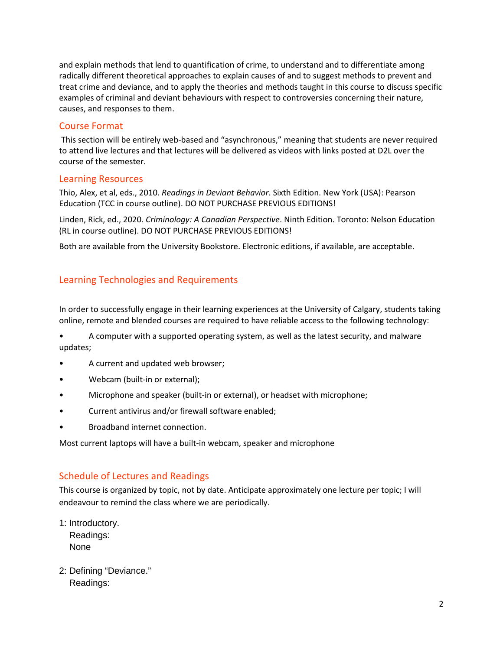and explain methods that lend to quantification of crime, to understand and to differentiate among radically different theoretical approaches to explain causes of and to suggest methods to prevent and treat crime and deviance, and to apply the theories and methods taught in this course to discuss specific examples of criminal and deviant behaviours with respect to controversies concerning their nature, causes, and responses to them.

## Course Format

This section will be entirely web-based and "asynchronous," meaning that students are never required to attend live lectures and that lectures will be delivered as videos with links posted at D2L over the course of the semester.

# Learning Resources

Thio, Alex, et al, eds., 2010. *Readings in Deviant Behavior*. Sixth Edition. New York (USA): Pearson Education (TCC in course outline). DO NOT PURCHASE PREVIOUS EDITIONS!

Linden, Rick, ed., 2020. *Criminology: A Canadian Perspective*. Ninth Edition. Toronto: Nelson Education (RL in course outline). DO NOT PURCHASE PREVIOUS EDITIONS!

Both are available from the University Bookstore. Electronic editions, if available, are acceptable.

# Learning Technologies and Requirements

In order to successfully engage in their learning experiences at the University of Calgary, students taking online, remote and blended courses are required to have reliable access to the following technology:

• A computer with a supported operating system, as well as the latest security, and malware updates;

- A current and updated web browser;
- Webcam (built-in or external);
- Microphone and speaker (built-in or external), or headset with microphone;
- Current antivirus and/or firewall software enabled;
- Broadband internet connection.

Most current laptops will have a built-in webcam, speaker and microphone

# Schedule of Lectures and Readings

This course is organized by topic, not by date. Anticipate approximately one lecture per topic; I will endeavour to remind the class where we are periodically.

- 1: Introductory. Readings: None
- 2: Defining "Deviance." Readings: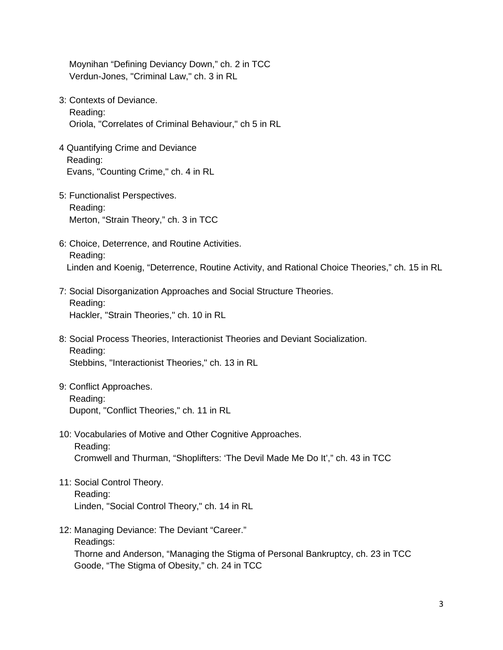Moynihan "Defining Deviancy Down," ch. 2 in TCC Verdun-Jones, "Criminal Law," ch. 3 in RL

- 3: Contexts of Deviance. Reading: Oriola, "Correlates of Criminal Behaviour," ch 5 in RL
- 4 Quantifying Crime and Deviance Reading: Evans, "Counting Crime," ch. 4 in RL
- 5: Functionalist Perspectives. Reading: Merton, "Strain Theory," ch. 3 in TCC
- 6: Choice, Deterrence, and Routine Activities. Reading: Linden and Koenig, "Deterrence, Routine Activity, and Rational Choice Theories," ch. 15 in RL
- 7: Social Disorganization Approaches and Social Structure Theories. Reading: Hackler, "Strain Theories," ch. 10 in RL
- 8: Social Process Theories, Interactionist Theories and Deviant Socialization. Reading: Stebbins, "Interactionist Theories," ch. 13 in RL
- 9: Conflict Approaches. Reading: Dupont, "Conflict Theories," ch. 11 in RL
- 10: Vocabularies of Motive and Other Cognitive Approaches. Reading: Cromwell and Thurman, "Shoplifters: 'The Devil Made Me Do It'," ch. 43 in TCC
- 11: Social Control Theory. Reading: Linden, "Social Control Theory," ch. 14 in RL
- 12: Managing Deviance: The Deviant "Career." Readings: Thorne and Anderson, "Managing the Stigma of Personal Bankruptcy, ch. 23 in TCC Goode, "The Stigma of Obesity," ch. 24 in TCC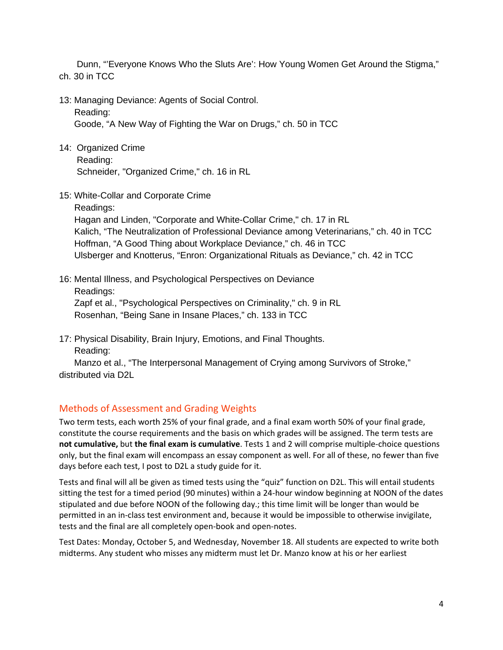Dunn, "'Everyone Knows Who the Sluts Are': How Young Women Get Around the Stigma," ch. 30 in TCC

13: Managing Deviance: Agents of Social Control.

Reading:

Goode, "A New Way of Fighting the War on Drugs," ch. 50 in TCC

- 14: Organized Crime Reading: Schneider, "Organized Crime," ch. 16 in RL
- 15: White-Collar and Corporate Crime

 Readings: Hagan and Linden, "Corporate and White-Collar Crime," ch. 17 in RL Kalich, "The Neutralization of Professional Deviance among Veterinarians," ch. 40 in TCC Hoffman, "A Good Thing about Workplace Deviance," ch. 46 in TCC Ulsberger and Knotterus, "Enron: Organizational Rituals as Deviance," ch. 42 in TCC

16: Mental Illness, and Psychological Perspectives on Deviance Readings: Zapf et al., "Psychological Perspectives on Criminality," ch. 9 in RL Rosenhan, "Being Sane in Insane Places," ch. 133 in TCC

17: Physical Disability, Brain Injury, Emotions, and Final Thoughts. Reading:

 Manzo et al., "The Interpersonal Management of Crying among Survivors of Stroke," distributed via D2L

# Methods of Assessment and Grading Weights

Two term tests, each worth 25% of your final grade, and a final exam worth 50% of your final grade, constitute the course requirements and the basis on which grades will be assigned. The term tests are **not cumulative,** but **the final exam is cumulative**. Tests 1 and 2 will comprise multiple-choice questions only, but the final exam will encompass an essay component as well. For all of these, no fewer than five days before each test, I post to D2L a study guide for it.

Tests and final will all be given as timed tests using the "quiz" function on D2L. This will entail students sitting the test for a timed period (90 minutes) within a 24-hour window beginning at NOON of the dates stipulated and due before NOON of the following day.; this time limit will be longer than would be permitted in an in-class test environment and, because it would be impossible to otherwise invigilate, tests and the final are all completely open-book and open-notes.

Test Dates: Monday, October 5, and Wednesday, November 18. All students are expected to write both midterms. Any student who misses any midterm must let Dr. Manzo know at his or her earliest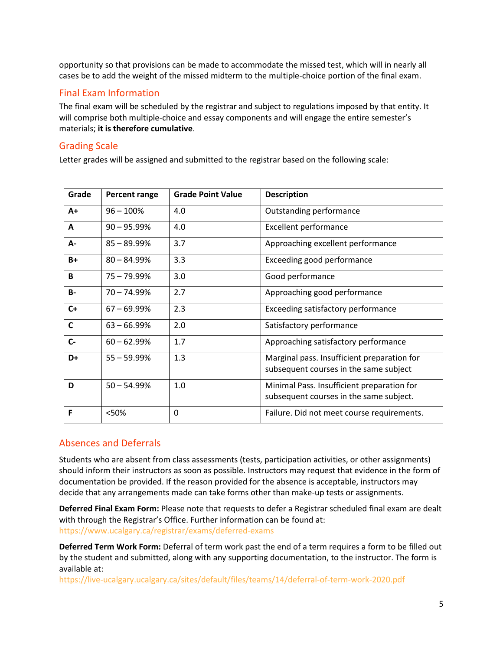opportunity so that provisions can be made to accommodate the missed test, which will in nearly all cases be to add the weight of the missed midterm to the multiple-choice portion of the final exam.

# Final Exam Information

The final exam will be scheduled by the registrar and subject to regulations imposed by that entity. It will comprise both multiple-choice and essay components and will engage the entire semester's materials; **it is therefore cumulative**.

# Grading Scale

Letter grades will be assigned and submitted to the registrar based on the following scale:

| Grade        | Percent range  | <b>Grade Point Value</b> | <b>Description</b>                                                                    |
|--------------|----------------|--------------------------|---------------------------------------------------------------------------------------|
| $A+$         | $96 - 100%$    | 4.0                      | Outstanding performance                                                               |
| A            | $90 - 95.99%$  | 4.0                      | <b>Excellent performance</b>                                                          |
| A-           | $85 - 89.99%$  | 3.7                      | Approaching excellent performance                                                     |
| B+           | $80 - 84.99%$  | 3.3                      | Exceeding good performance                                                            |
| B            | 75 - 79.99%    | 3.0                      | Good performance                                                                      |
| <b>B-</b>    | $70 - 74.99%$  | 2.7                      | Approaching good performance                                                          |
| $C+$         | $67 - 69.99\%$ | 2.3                      | Exceeding satisfactory performance                                                    |
| $\mathsf{C}$ | $63 - 66.99\%$ | 2.0                      | Satisfactory performance                                                              |
| $C -$        | $60 - 62.99%$  | 1.7                      | Approaching satisfactory performance                                                  |
| D+           | $55 - 59.99%$  | 1.3                      | Marginal pass. Insufficient preparation for<br>subsequent courses in the same subject |
| D            | $50 - 54.99%$  | 1.0                      | Minimal Pass. Insufficient preparation for<br>subsequent courses in the same subject. |
| F            | <50%           | 0                        | Failure. Did not meet course requirements.                                            |

# Absences and Deferrals

Students who are absent from class assessments (tests, participation activities, or other assignments) should inform their instructors as soon as possible. Instructors may request that evidence in the form of documentation be provided. If the reason provided for the absence is acceptable, instructors may decide that any arrangements made can take forms other than make-up tests or assignments.

**Deferred Final Exam Form:** Please note that requests to defer a Registrar scheduled final exam are dealt with through the Registrar's Office. Further information can be found at: <https://www.ucalgary.ca/registrar/exams/deferred-exams>

**Deferred Term Work Form:** Deferral of term work past the end of a term requires a form to be filled out by the student and submitted, along with any supporting documentation, to the instructor. The form is available at:

<https://live-ucalgary.ucalgary.ca/sites/default/files/teams/14/deferral-of-term-work-2020.pdf>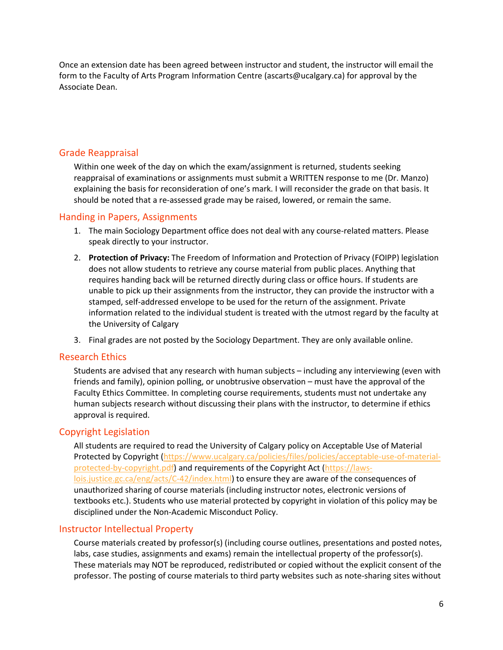Once an extension date has been agreed between instructor and student, the instructor will email the form to the Faculty of Arts Program Information Centre (ascarts@ucalgary.ca) for approval by the Associate Dean.

# Grade Reappraisal

Within one week of the day on which the exam/assignment is returned, students seeking reappraisal of examinations or assignments must submit a WRITTEN response to me (Dr. Manzo) explaining the basis for reconsideration of one's mark. I will reconsider the grade on that basis. It should be noted that a re-assessed grade may be raised, lowered, or remain the same.

### Handing in Papers, Assignments

- 1. The main Sociology Department office does not deal with any course-related matters. Please speak directly to your instructor.
- 2. **Protection of Privacy:** The Freedom of Information and Protection of Privacy (FOIPP) legislation does not allow students to retrieve any course material from public places. Anything that requires handing back will be returned directly during class or office hours. If students are unable to pick up their assignments from the instructor, they can provide the instructor with a stamped, self-addressed envelope to be used for the return of the assignment. Private information related to the individual student is treated with the utmost regard by the faculty at the University of Calgary
- 3. Final grades are not posted by the Sociology Department. They are only available online.

#### Research Ethics

Students are advised that any research with human subjects – including any interviewing (even with friends and family), opinion polling, or unobtrusive observation – must have the approval of the Faculty Ethics Committee. In completing course requirements, students must not undertake any human subjects research without discussing their plans with the instructor, to determine if ethics approval is required.

## Copyright Legislation

All students are required to read the University of Calgary policy on Acceptable Use of Material Protected by Copyright [\(https://www.ucalgary.ca/policies/files/policies/acceptable-use-of-material](https://www.ucalgary.ca/policies/files/policies/acceptable-use-of-material-protected-by-copyright.pdf)[protected-by-copyright.pdf\)](https://www.ucalgary.ca/policies/files/policies/acceptable-use-of-material-protected-by-copyright.pdf) and requirements of the Copyright Act [\(https://laws](https://laws-lois.justice.gc.ca/eng/acts/C-42/index.html)[lois.justice.gc.ca/eng/acts/C-42/index.html\)](https://laws-lois.justice.gc.ca/eng/acts/C-42/index.html) to ensure they are aware of the consequences of unauthorized sharing of course materials (including instructor notes, electronic versions of textbooks etc.). Students who use material protected by copyright in violation of this policy may be disciplined under the Non-Academic Misconduct Policy.

## Instructor Intellectual Property

Course materials created by professor(s) (including course outlines, presentations and posted notes, labs, case studies, assignments and exams) remain the intellectual property of the professor(s). These materials may NOT be reproduced, redistributed or copied without the explicit consent of the professor. The posting of course materials to third party websites such as note-sharing sites without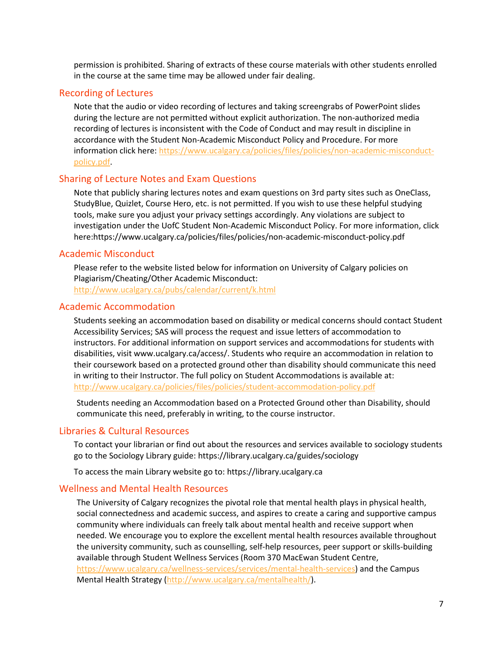permission is prohibited. Sharing of extracts of these course materials with other students enrolled in the course at the same time may be allowed under fair dealing.

#### Recording of Lectures

Note that the audio or video recording of lectures and taking screengrabs of PowerPoint slides during the lecture are not permitted without explicit authorization. The non-authorized media recording of lectures is inconsistent with the Code of Conduct and may result in discipline in accordance with the Student Non-Academic Misconduct Policy and Procedure. For more information click here: [https://www.ucalgary.ca/policies/files/policies/non-academic-misconduct](https://www.ucalgary.ca/policies/files/policies/non-academic-misconduct-policy.pdf)[policy.pdf.](https://www.ucalgary.ca/policies/files/policies/non-academic-misconduct-policy.pdf)

### Sharing of Lecture Notes and Exam Questions

Note that publicly sharing lectures notes and exam questions on 3rd party sites such as OneClass, StudyBlue, Quizlet, Course Hero, etc. is not permitted. If you wish to use these helpful studying tools, make sure you adjust your privacy settings accordingly. Any violations are subject to investigation under the UofC Student Non-Academic Misconduct Policy. For more information, click here[:https://www.ucalgary.ca/policies/files/policies/non-academic-misconduct-policy.pdf](https://www.ucalgary.ca/policies/files/policies/non-academic-misconduct-policy.pdf)

### Academic Misconduct

Please refer to the website listed below for information on University of Calgary policies on Plagiarism/Cheating/Other Academic Misconduct:

<http://www.ucalgary.ca/pubs/calendar/current/k.html>

### Academic Accommodation

Students seeking an accommodation based on disability or medical concerns should contact Student Accessibility Services; SAS will process the request and issue letters of accommodation to instructors. For additional information on support services and accommodations for students with disabilities, visit www.ucalgary.ca/access/. Students who require an accommodation in relation to their coursework based on a protected ground other than disability should communicate this need in writing to their Instructor. The full policy on Student Accommodations is available at: <http://www.ucalgary.ca/policies/files/policies/student-accommodation-policy.pdf>

Students needing an Accommodation based on a Protected Ground other than Disability, should communicate this need, preferably in writing, to the course instructor.

### Libraries & Cultural Resources

To contact your librarian or find out about the resources and services available to sociology students go to the Sociology Library guide:<https://library.ucalgary.ca/guides/sociology>

To access the main Library website go to: [https://library.ucalgary.ca](https://library.ucalgary.ca/)

### Wellness and Mental Health Resources

The University of Calgary recognizes the pivotal role that mental health plays in physical health, social connectedness and academic success, and aspires to create a caring and supportive campus community where individuals can freely talk about mental health and receive support when needed. We encourage you to explore the excellent mental health resources available throughout the university community, such as counselling, self-help resources, peer support or skills-building available through Student Wellness Services (Room 370 MacEwan Student Centre, [https://www.ucalgary.ca/wellness-services/services/mental-health-services\)](https://www.ucalgary.ca/wellness-services/services/mental-health-services) and the Campus Mental Health Strategy [\(http://www.ucalgary.ca/mentalhealth/\)](http://www.ucalgary.ca/mentalhealth/).